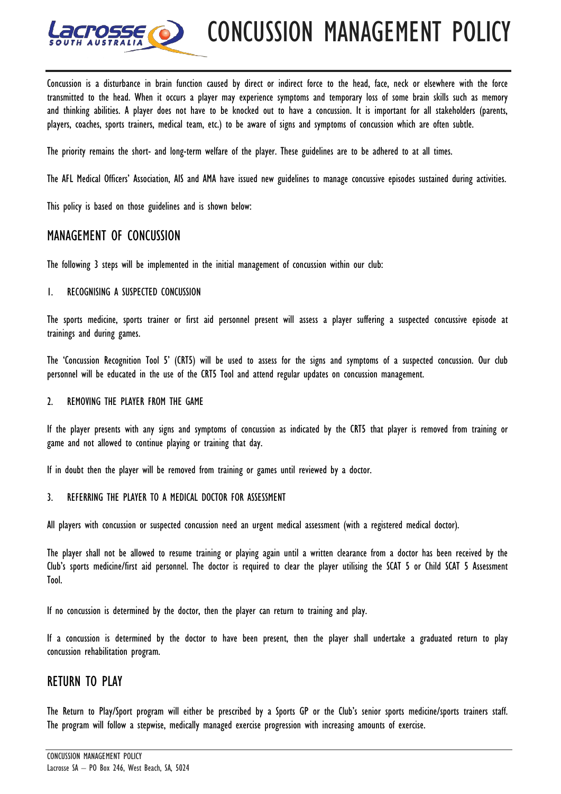

Concussion is a disturbance in brain function caused by direct or indirect force to the head, face, neck or elsewhere with the force transmitted to the head. When it occurs a player may experience symptoms and temporary loss of some brain skills such as memory and thinking abilities. A player does not have to be knocked out to have a concussion. It is important for all stakeholders (parents, players, coaches, sports trainers, medical team, etc.) to be aware of signs and symptoms of concussion which are often subtle.

The priority remains the short- and long-term welfare of the player. These guidelines are to be adhered to at all times.

The AFL Medical Officers' Association, AIS and AMA have issued new guidelines to manage concussive episodes sustained during activities.

This policy is based on those guidelines and is shown below:

# MANAGEMENT OF CONCUSSION

The following 3 steps will be implemented in the initial management of concussion within our club:

#### 1. RECOGNISING A SUSPECTED CONCUSSION

The sports medicine, sports trainer or first aid personnel present will assess a player suffering a suspected concussive episode at trainings and during games.

The 'Concussion Recognition Tool 5' (CRT5) will be used to assess for the signs and symptoms of a suspected concussion. Our club personnel will be educated in the use of the CRT5 Tool and attend regular updates on concussion management.

#### 2. REMOVING THE PLAYER FROM THE GAME

If the player presents with any signs and symptoms of concussion as indicated by the CRT5 that player is removed from training or game and not allowed to continue playing or training that day.

If in doubt then the player will be removed from training or games until reviewed by a doctor.

### 3. REFERRING THE PLAYER TO A MEDICAL DOCTOR FOR ASSESSMENT

All players with concussion or suspected concussion need an urgent medical assessment (with a registered medical doctor).

The player shall not be allowed to resume training or playing again until a written clearance from a doctor has been received by the Club's sports medicine/first aid personnel. The doctor is required to clear the player utilising the SCAT 5 or Child SCAT 5 Assessment Tool.

If no concussion is determined by the doctor, then the player can return to training and play.

If a concussion is determined by the doctor to have been present, then the player shall undertake a graduated return to play concussion rehabilitation program.

## RETURN TO PLAY

The Return to Play/Sport program will either be prescribed by a Sports GP or the Club's senior sports medicine/sports trainers staff. The program will follow a stepwise, medically managed exercise progression with increasing amounts of exercise.